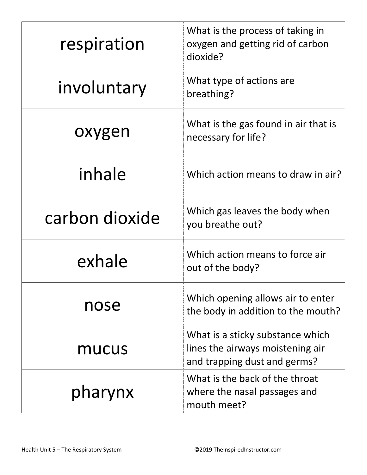| respiration    | What is the process of taking in<br>oxygen and getting rid of carbon<br>dioxide?                     |
|----------------|------------------------------------------------------------------------------------------------------|
| involuntary    | What type of actions are<br>breathing?                                                               |
| oxygen         | What is the gas found in air that is<br>necessary for life?                                          |
| inhale         | Which action means to draw in air?                                                                   |
| carbon dioxide | Which gas leaves the body when<br>you breathe out?                                                   |
| exhale         | Which action means to force air<br>out of the body?                                                  |
| nose           | Which opening allows air to enter<br>the body in addition to the mouth?                              |
| mucus          | What is a sticky substance which<br>lines the airways moistening air<br>and trapping dust and germs? |
| pharynx        | What is the back of the throat<br>where the nasal passages and<br>mouth meet?                        |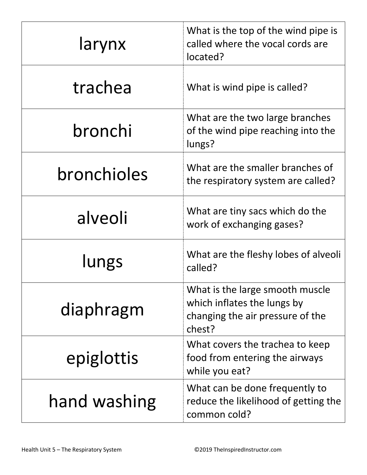| larynx       | What is the top of the wind pipe is<br>called where the vocal cords are<br>located?                          |
|--------------|--------------------------------------------------------------------------------------------------------------|
| trachea      | What is wind pipe is called?                                                                                 |
| bronchi      | What are the two large branches<br>of the wind pipe reaching into the<br>lungs?                              |
| bronchioles  | What are the smaller branches of<br>the respiratory system are called?                                       |
| alveoli      | What are tiny sacs which do the<br>work of exchanging gases?                                                 |
| lungs        | What are the fleshy lobes of alveoli<br>called?                                                              |
| diaphragm    | What is the large smooth muscle<br>which inflates the lungs by<br>changing the air pressure of the<br>chest? |
| epiglottis   | What covers the trachea to keep<br>food from entering the airways<br>while you eat?                          |
| hand washing | What can be done frequently to<br>reduce the likelihood of getting the<br>common cold?                       |